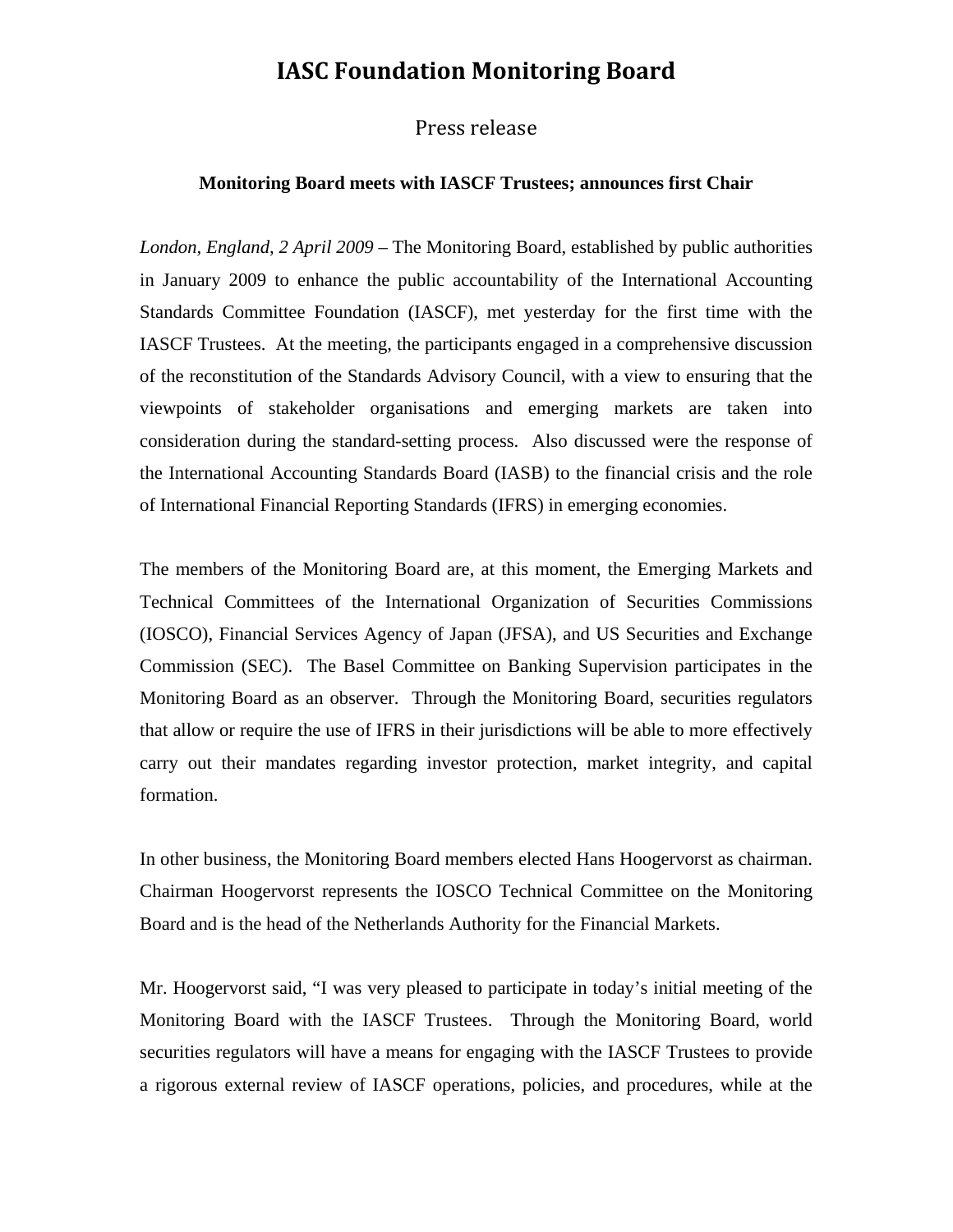## **IASC Foundation Monitoring Board**

## Press release

## **Monitoring Board meets with IASCF Trustees; announces first Chair**

*London, England, 2 April 2009 –* The Monitoring Board, established by public authorities in January 2009 to enhance the public accountability of the International Accounting Standards Committee Foundation (IASCF), met yesterday for the first time with the IASCF Trustees. At the meeting, the participants engaged in a comprehensive discussion of the reconstitution of the Standards Advisory Council, with a view to ensuring that the viewpoints of stakeholder organisations and emerging markets are taken into consideration during the standard-setting process. Also discussed were the response of the International Accounting Standards Board (IASB) to the financial crisis and the role of International Financial Reporting Standards (IFRS) in emerging economies.

The members of the Monitoring Board are, at this moment, the Emerging Markets and Technical Committees of the International Organization of Securities Commissions (IOSCO), Financial Services Agency of Japan (JFSA), and US Securities and Exchange Commission (SEC). The Basel Committee on Banking Supervision participates in the Monitoring Board as an observer. Through the Monitoring Board, securities regulators that allow or require the use of IFRS in their jurisdictions will be able to more effectively carry out their mandates regarding investor protection, market integrity, and capital formation.

In other business, the Monitoring Board members elected Hans Hoogervorst as chairman. Chairman Hoogervorst represents the IOSCO Technical Committee on the Monitoring Board and is the head of the Netherlands Authority for the Financial Markets.

Mr. Hoogervorst said, "I was very pleased to participate in today's initial meeting of the Monitoring Board with the IASCF Trustees. Through the Monitoring Board, world securities regulators will have a means for engaging with the IASCF Trustees to provide a rigorous external review of IASCF operations, policies, and procedures, while at the